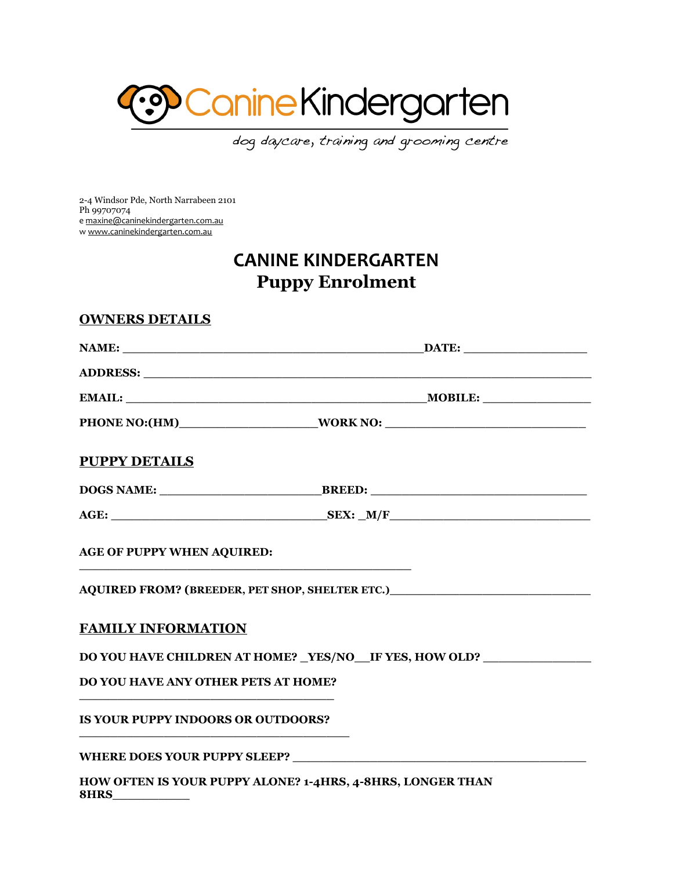

dog daycare, training and grooming centre

2-4 Windsor Pde, North Narrabeen 2101 Ph 99707074 e [maxine@caninekindergarten.com.au](mailto:maxine@caninekindergarten.com.au) w [www.caninekindergarten.com.au](http://www.caninekindergarten.com.au/)

## **CANINE KINDERGARTEN Puppy Enrolment**

| <b>PUPPY DETAILS</b>                       |                                                                                                                                                           |
|--------------------------------------------|-----------------------------------------------------------------------------------------------------------------------------------------------------------|
|                                            |                                                                                                                                                           |
|                                            |                                                                                                                                                           |
| <b>AGE OF PUPPY WHEN AQUIRED:</b>          | <u> 1980 - Johann Barn, mars an t-Amerikaansk politiker (* 1908)</u><br>AQUIRED FROM? (BREEDER, PET SHOP, SHELTER ETC.)__________________________________ |
| <b>FAMILY INFORMATION</b>                  |                                                                                                                                                           |
|                                            | DO YOU HAVE CHILDREN AT HOME? _YES/NO__IF YES, HOW OLD? ______________                                                                                    |
| <b>DO YOU HAVE ANY OTHER PETS AT HOME?</b> |                                                                                                                                                           |
| <b>IS YOUR PUPPY INDOORS OR OUTDOORS?</b>  |                                                                                                                                                           |
|                                            |                                                                                                                                                           |

WHERE DOES YOUR PUPPY SLEEP?

**HOW OFTEN IS YOUR PUPPY ALONE? 1-4HRS, 4-8HRS, LONGER THAN 8HRS\_\_\_\_\_\_\_\_\_\_**